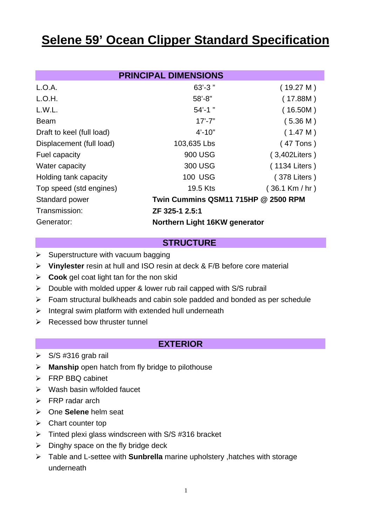# **Selene 59' Ocean Clipper Standard Specification**

| <b>PRINCIPAL DIMENSIONS</b> |                                     |                    |
|-----------------------------|-------------------------------------|--------------------|
| L.O.A.                      | $63' - 3''$                         | (19.27 M)          |
| L.O.H.                      | $58' - 8"$                          | (17.88M)           |
| L.W.L.                      | $54' - 1$                           | (16.50M)           |
| <b>Beam</b>                 | $17' - 7"$                          | (5.36 M)           |
| Draft to keel (full load)   | $4' - 10''$                         | (1.47 M)           |
| Displacement (full load)    | 103,635 Lbs                         | $(47$ Tons)        |
| Fuel capacity               | 900 USG                             | $(3,402$ Liters)   |
| Water capacity              | 300 USG                             | (1134 Liters)      |
| Holding tank capacity       | <b>100 USG</b>                      | (378 Liters)       |
| Top speed (std engines)     | 19.5 Kts                            | $(36.1$ Km $/$ hr) |
| Standard power              | Twin Cummins QSM11 715HP @ 2500 RPM |                    |
| Transmission:               | ZF 325-1 2.5:1                      |                    |
| Generator:                  | Northern Light 16KW generator       |                    |

#### **STRUCTURE**

- $\triangleright$  Superstructure with vacuum bagging
- **Vinylester** resin at hull and ISO resin at deck & F/B before core material
- **Cook** gel coat light tan for the non skid
- $\triangleright$  Double with molded upper & lower rub rail capped with S/S rubrail
- $\triangleright$  Foam structural bulkheads and cabin sole padded and bonded as per schedule
- $\triangleright$  Integral swim platform with extended hull underneath
- $\triangleright$  Recessed bow thruster tunnel

#### **EXTERIOR**

- $\triangleright$  S/S #316 grab rail
- **Manship** open hatch from fly bridge to pilothouse
- **FRP BBQ cabinet**
- $\triangleright$  Wash basin w/folded faucet
- $\triangleright$  FRP radar arch
- One **Selene** helm seat
- $\triangleright$  Chart counter top
- $\triangleright$  Tinted plexi glass windscreen with S/S #316 bracket
- $\triangleright$  Dinghy space on the fly bridge deck
- Table and L-settee with **Sunbrella** marine upholstery ,hatches with storage underneath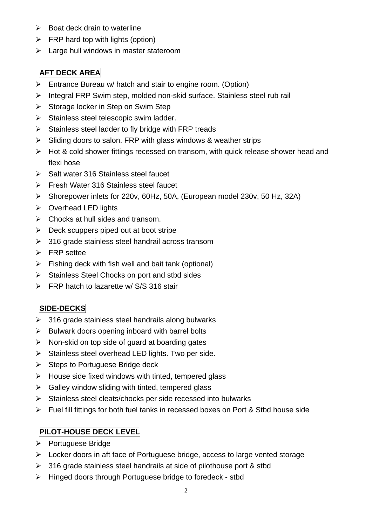- $\triangleright$  Boat deck drain to waterline
- $\triangleright$  FRP hard top with lights (option)
- $\blacktriangleright$  Large hull windows in master stateroom

# **AFT DECK AREA**

- $\triangleright$  Entrance Bureau w/ hatch and stair to engine room. (Option)
- Integral FRP Swim step, molded non-skid surface. Stainless steel rub rail
- $\triangleright$  Storage locker in Step on Swim Step
- $\triangleright$  Stainless steel telescopic swim ladder.
- $\triangleright$  Stainless steel ladder to fly bridge with FRP treads
- $\triangleright$  Sliding doors to salon. FRP with glass windows & weather strips
- Hot & cold shower fittings recessed on transom, with quick release shower head and flexi hose
- $\triangleright$  Salt water 316 Stainless steel faucet
- **Fresh Water 316 Stainless steel faucet**
- Shorepower inlets for 220v, 60Hz, 50A, (European model 230v, 50 Hz, 32A)
- $\triangleright$  Overhead LED lights
- $\triangleright$  Chocks at hull sides and transom.
- $\triangleright$  Deck scuppers piped out at boot stripe
- $>$  316 grade stainless steel handrail across transom
- > FRP settee
- $\triangleright$  Fishing deck with fish well and bait tank (optional)
- $\triangleright$  Stainless Steel Chocks on port and stbd sides
- FRP hatch to lazarette w/ S/S 316 stair

# **SIDE-DECKS**

- $\geq$  316 grade stainless steel handrails along bulwarks
- $\triangleright$  Bulwark doors opening inboard with barrel bolts
- $\triangleright$  Non-skid on top side of guard at boarding gates
- $\triangleright$  Stainless steel overhead LED lights. Two per side.
- $\triangleright$  Steps to Portuguese Bridge deck
- $\triangleright$  House side fixed windows with tinted, tempered glass
- $\triangleright$  Galley window sliding with tinted, tempered glass
- $\triangleright$  Stainless steel cleats/chocks per side recessed into bulwarks
- Fuel fill fittings for both fuel tanks in recessed boxes on Port & Stbd house side

## **PILOT-HOUSE DECK LEVEL**

- ▶ Portuguese Bridge
- Locker doors in aft face of Portuguese bridge, access to large vented storage
- $\geq$  316 grade stainless steel handrails at side of pilothouse port & stbd
- ▶ Hinged doors through Portuguese bridge to foredeck stbd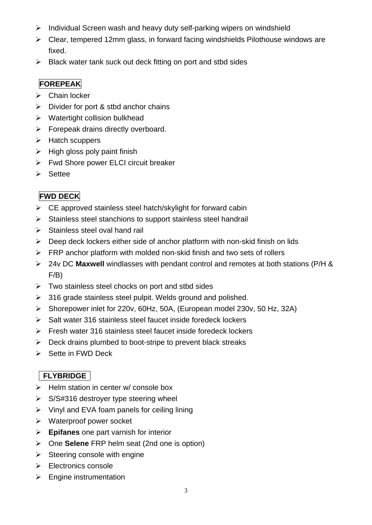- $\triangleright$  Individual Screen wash and heavy duty self-parking wipers on windshield
- $\triangleright$  Clear, tempered 12mm glass, in forward facing windshields Pilothouse windows are fixed.
- $\triangleright$  Black water tank suck out deck fitting on port and stbd sides

# **FOREPEAK**

- $\triangleright$  Chain locker
- $\triangleright$  Divider for port & stbd anchor chains
- $\triangleright$  Watertight collision bulkhead
- $\triangleright$  Forepeak drains directly overboard.
- $\triangleright$  Hatch scuppers
- $\triangleright$  High gloss poly paint finish
- **►** Fwd Shore power ELCI circuit breaker
- $\triangleright$  Settee

# **FWD DECK**

- $\triangleright$  CE approved stainless steel hatch/skylight for forward cabin
- $\triangleright$  Stainless steel stanchions to support stainless steel handrail
- $\triangleright$  Stainless steel oval hand rail
- $\triangleright$  Deep deck lockers either side of anchor platform with non-skid finish on lids
- $\triangleright$  FRP anchor platform with molded non-skid finish and two sets of rollers
- 24v DC **Maxwell** windlasses with pendant control and remotes at both stations (P/H & F/B)
- $\triangleright$  Two stainless steel chocks on port and stbd sides
- $\geq$  316 grade stainless steel pulpit. Welds ground and polished.
- Shorepower inlet for 220v, 60Hz, 50A, (European model 230v, 50 Hz, 32A)
- $\triangleright$  Salt water 316 stainless steel faucet inside foredeck lockers
- $\triangleright$  Fresh water 316 stainless steel faucet inside foredeck lockers
- $\triangleright$  Deck drains plumbed to boot-stripe to prevent black streaks
- $\triangleright$  Sette in FWD Deck

# **FLYBRIDGE**

- $\triangleright$  Helm station in center w/ console box
- $\triangleright$  S/S#316 destroyer type steering wheel
- $\triangleright$  Vinyl and EVA foam panels for ceiling lining
- Waterproof power socket
- **Epifanes** one part varnish for interior
- One **Selene** FRP helm seat (2nd one is option)
- $\triangleright$  Steering console with engine
- $\triangleright$  Electronics console
- $\triangleright$  Engine instrumentation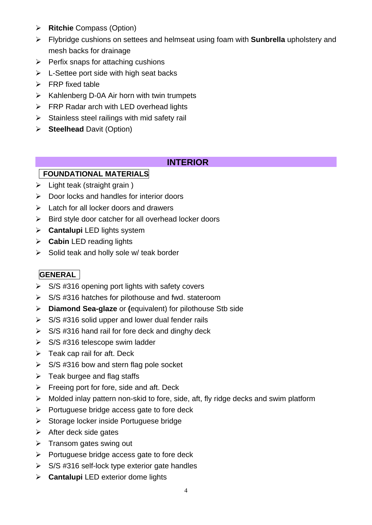- **Ritchie** Compass (Option)
- Flybridge cushions on settees and helmseat using foam with **Sunbrella** upholstery and mesh backs for drainage
- $\triangleright$  Perfix snaps for attaching cushions
- $\triangleright$  L-Settee port side with high seat backs
- $\triangleright$  FRP fixed table
- $\triangleright$  Kahlenberg D-0A Air horn with twin trumpets
- **FRP Radar arch with LED overhead lights**
- $\triangleright$  Stainless steel railings with mid safety rail
- **Steelhead** Davit (Option)

## **INTERIOR**

#### **FOUNDATIONAL MATERIALS**

- $\triangleright$  Light teak (straight grain)
- $\triangleright$  Door locks and handles for interior doors
- $\triangleright$  Latch for all locker doors and drawers
- $\triangleright$  Bird style door catcher for all overhead locker doors
- **Cantalupi** LED lights system
- **Cabin** LED reading lights
- $\triangleright$  Solid teak and holly sole w/ teak border

# **GENERAL**

- $\triangleright$  S/S #316 opening port lights with safety covers
- $\triangleright$  S/S #316 hatches for pilothouse and fwd. stateroom
- **Diamond Sea-glaze** or **(**equivalent) for pilothouse Stb side
- $\triangleright$  S/S #316 solid upper and lower dual fender rails
- $\triangleright$  S/S #316 hand rail for fore deck and dinghy deck
- $\triangleright$  S/S #316 telescope swim ladder
- $\triangleright$  Teak cap rail for aft. Deck
- $\triangleright$  S/S #316 bow and stern flag pole socket
- $\triangleright$  Teak burgee and flag staffs
- $\triangleright$  Freeing port for fore, side and aft. Deck
- $\triangleright$  Molded inlay pattern non-skid to fore, side, aft, fly ridge decks and swim platform
- $\triangleright$  Portuguese bridge access gate to fore deck
- $\triangleright$  Storage locker inside Portuguese bridge
- $\triangleright$  After deck side gates
- $\triangleright$  Transom gates swing out
- $\triangleright$  Portuguese bridge access gate to fore deck
- $\triangleright$  S/S #316 self-lock type exterior gate handles
- **Cantalupi** LED exterior dome lights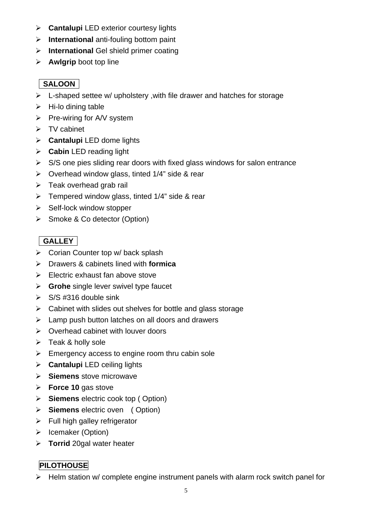- **Cantalupi** LED exterior courtesy lights
- **International** anti-fouling bottom paint
- **International** Gel shield primer coating
- **Awlgrip** boot top line

## **SALOON**

- $\triangleright$  L-shaped settee w/ upholstery, with file drawer and hatches for storage
- $\triangleright$  Hi-lo dining table
- $\triangleright$  Pre-wiring for A/V system
- $\triangleright$  TV cabinet
- **Cantalupi** LED dome lights
- **Cabin** LED reading light
- $\triangleright$  S/S one pies sliding rear doors with fixed glass windows for salon entrance
- $\triangleright$  Overhead window glass, tinted 1/4" side & rear
- $\triangleright$  Teak overhead grab rail
- $\triangleright$  Tempered window glass, tinted 1/4" side & rear
- $\triangleright$  Self-lock window stopper
- Smoke & Co detector (Option)

# **GALLEY**

- ▶ Corian Counter top w/ back splash
- Drawers & cabinets lined with **formica**
- $\triangleright$  Electric exhaust fan above stove
- **Grohe** single lever swivel type faucet
- $\triangleright$  S/S #316 double sink
- $\triangleright$  Cabinet with slides out shelves for bottle and glass storage
- $\triangleright$  Lamp push button latches on all doors and drawers
- $\triangleright$  Overhead cabinet with louver doors
- $\triangleright$  Teak & holly sole
- $\triangleright$  Emergency access to engine room thru cabin sole
- **Cantalupi** LED ceiling lights
- **Siemens** stove microwave
- **Force 10** gas stove
- **Siemens** electric cook top ( Option)
- **Siemens** electric oven ( Option)
- $\triangleright$  Full high galley refrigerator
- $\triangleright$  Icemaker (Option)
- **Torrid** 20gal water heater

## **PILOTHOUSE**

 $\triangleright$  Helm station w/ complete engine instrument panels with alarm rock switch panel for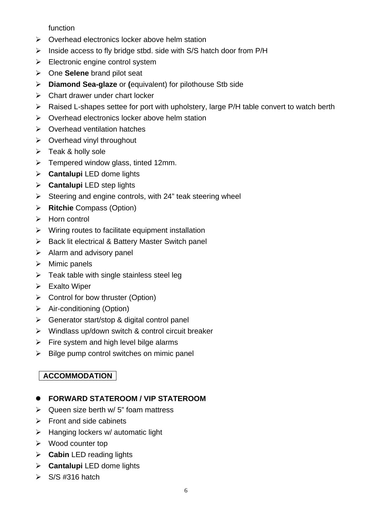function

- $\triangleright$  Overhead electronics locker above helm station
- $\triangleright$  Inside access to fly bridge stbd. side with S/S hatch door from P/H
- $\triangleright$  Electronic engine control system
- One **Selene** brand pilot seat
- **Diamond Sea-glaze** or **(**equivalent) for pilothouse Stb side
- $\triangleright$  Chart drawer under chart locker
- $\triangleright$  Raised L-shapes settee for port with upholstery, large P/H table convert to watch berth
- $\triangleright$  Overhead electronics locker above helm station
- $\triangleright$  Overhead ventilation hatches
- $\triangleright$  Overhead vinyl throughout
- $\triangleright$  Teak & holly sole
- $\triangleright$  Tempered window glass, tinted 12mm.
- **Cantalupi** LED dome lights
- **Cantalupi** LED step lights
- $\triangleright$  Steering and engine controls, with 24" teak steering wheel
- **Ritchie** Compass (Option)
- $\triangleright$  Horn control
- $\triangleright$  Wiring routes to facilitate equipment installation
- $\triangleright$  Back lit electrical & Battery Master Switch panel
- $\triangleright$  Alarm and advisory panel
- $\triangleright$  Mimic panels
- $\triangleright$  Teak table with single stainless steel leg
- $\triangleright$  Exalto Wiper
- $\triangleright$  Control for bow thruster (Option)
- $\triangleright$  Air-conditioning (Option)
- Generator start/stop & digital control panel
- $\triangleright$  Windlass up/down switch & control circuit breaker
- $\triangleright$  Fire system and high level bilge alarms
- $\triangleright$  Bilge pump control switches on mimic panel

# **ACCOMMODATION**

## **FORWARD STATEROOM / VIP STATEROOM**

- $\triangleright$  Queen size berth w/ 5" foam mattress
- $\triangleright$  Front and side cabinets
- $\triangleright$  Hanging lockers w/ automatic light
- $\triangleright$  Wood counter top
- **Cabin** LED reading lights
- **Cantalupi** LED dome lights
- $\triangleright$  S/S #316 hatch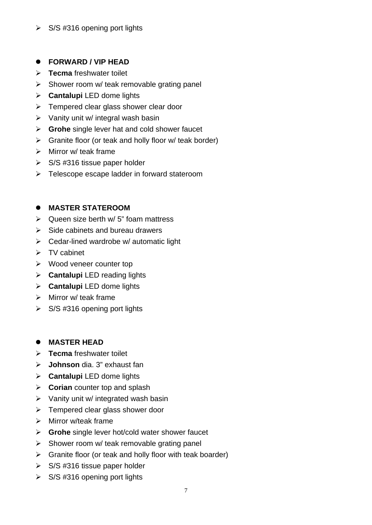#### $\triangleright$  S/S #316 opening port lights

#### **FORWARD / VIP HEAD**

- **Tecma** freshwater toilet
- $\triangleright$  Shower room w/ teak removable grating panel
- **Cantalupi** LED dome lights
- $\triangleright$  Tempered clear glass shower clear door
- $\triangleright$  Vanity unit w/ integral wash basin
- **Grohe** single lever hat and cold shower faucet
- $\triangleright$  Granite floor (or teak and holly floor w/ teak border)
- $\triangleright$  Mirror w/ teak frame
- $\triangleright$  S/S #316 tissue paper holder
- > Telescope escape ladder in forward stateroom

#### **MASTER STATEROOM**

- $\triangleright$  Queen size berth w/ 5" foam mattress
- $\triangleright$  Side cabinets and bureau drawers
- $\triangleright$  Cedar-lined wardrobe w/ automatic light
- $\triangleright$  TV cabinet
- $\triangleright$  Wood veneer counter top
- **Cantalupi** LED reading lights
- **Cantalupi** LED dome lights
- $\triangleright$  Mirror w/ teak frame
- $\triangleright$  S/S #316 opening port lights

#### **MASTER HEAD**

- **Tecma** freshwater toilet
- **Johnson** dia. 3" exhaust fan
- **Cantalupi** LED dome lights
- **Corian** counter top and splash
- $\triangleright$  Vanity unit w/ integrated wash basin
- $\triangleright$  Tempered clear glass shower door
- $\triangleright$  Mirror w/teak frame
- **Grohe** single lever hot/cold water shower faucet
- $\triangleright$  Shower room w/ teak removable grating panel
- $\triangleright$  Granite floor (or teak and holly floor with teak boarder)
- $\triangleright$  S/S #316 tissue paper holder
- $\triangleright$  S/S #316 opening port lights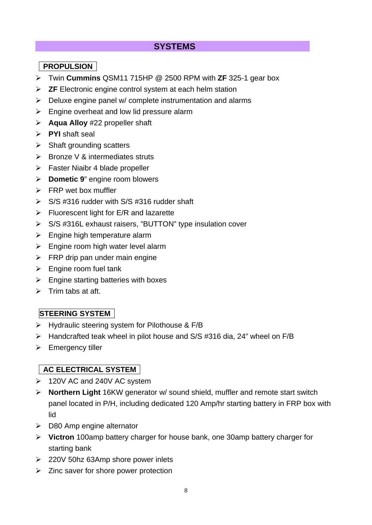## **SYSTEMS**

## **PROPULSION**

- Twin **Cummins** QSM11 715HP @ 2500 RPM with **ZF** 325-1 gear box
- **ZF** Electronic engine control system at each helm station
- $\triangleright$  Deluxe engine panel w/ complete instrumentation and alarms
- $\triangleright$  Engine overheat and low lid pressure alarm
- **Aqua Alloy** #22 propeller shaft
- **PYI** shaft seal
- $\triangleright$  Shaft grounding scatters
- $\triangleright$  Bronze V & intermediates struts
- **Faster Niaibr 4 blade propeller**
- **Dometic 9**" engine room blowers
- $\triangleright$  FRP wet box muffler
- $\triangleright$  S/S #316 rudder with S/S #316 rudder shaft
- $\triangleright$  Fluorescent light for E/R and lazarette
- S/S #316L exhaust raisers, "BUTTON" type insulation cover
- $\triangleright$  Engine high temperature alarm
- $\triangleright$  Engine room high water level alarm
- $\triangleright$  FRP drip pan under main engine
- $\triangleright$  Engine room fuel tank
- $\triangleright$  Engine starting batteries with boxes
- $\triangleright$  Trim tabs at aft.

# **STEERING SYSTEM**

- $\triangleright$  Hydraulic steering system for Pilothouse & F/B
- Handcrafted teak wheel in pilot house and S/S #316 dia, 24" wheel on F/B
- $\triangleright$  Emergency tiller

# **AC ELECTRICAL SYSTEM**

- 120V AC and 240V AC system
- **Northern Light** 16KW generator w/ sound shield, muffler and remote start switch panel located in P/H, including dedicated 120 Amp/hr starting battery in FRP box with lid
- $\geqslant$  D80 Amp engine alternator
- **Victron** 100amp battery charger for house bank, one 30amp battery charger for starting bank
- 220V 50hz 63Amp shore power inlets
- $\triangleright$  Zinc saver for shore power protection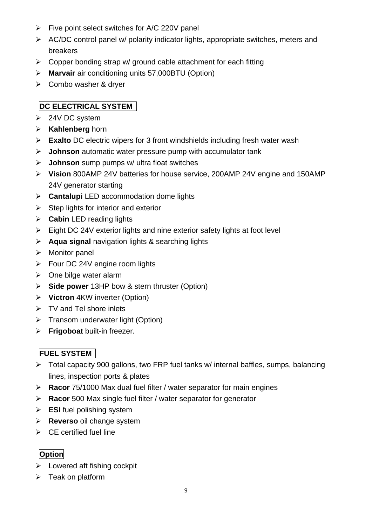- $\triangleright$  Five point select switches for A/C 220V panel
- AC/DC control panel w/ polarity indicator lights, appropriate switches, meters and breakers
- $\triangleright$  Copper bonding strap w/ ground cable attachment for each fitting
- **Marvair** air conditioning units 57,000BTU (Option)
- Combo washer & dryer

#### **DC ELECTRICAL SYSTEM**

- $\geq$  24V DC system
- **Kahlenberg** horn
- **Exalto** DC electric wipers for 3 front windshields including fresh water wash
- **Johnson** automatic water pressure pump with accumulator tank
- **Johnson** sump pumps w/ ultra float switches
- **Vision** 800AMP 24V batteries for house service, 200AMP 24V engine and 150AMP 24V generator starting
- **Cantalupi** LED accommodation dome lights
- $\triangleright$  Step lights for interior and exterior
- **Cabin** LED reading lights
- $\triangleright$  Eight DC 24V exterior lights and nine exterior safety lights at foot level
- **Aqua signal** navigation lights & searching lights
- > Monitor panel
- Four DC 24V engine room lights
- $\triangleright$  One bilge water alarm
- **Side power** 13HP bow & stern thruster (Option)
- **Victron** 4KW inverter (Option)
- $\triangleright$  TV and Tel shore inlets
- > Transom underwater light (Option)
- **Frigoboat** built-in freezer.

## **FUEL SYSTEM**

- Total capacity 900 gallons, two FRP fuel tanks w/ internal baffles, sumps, balancing lines, inspection ports & plates
- **Racor** 75/1000 Max dual fuel filter / water separator for main engines
- **Racor** 500 Max single fuel filter / water separator for generator
- **ESI** fuel polishing system
- **Reverso** oil change system
- $\triangleright$  CE certified fuel line

# **Option**

- $\triangleright$  Lowered aft fishing cockpit
- $\triangleright$  Teak on platform